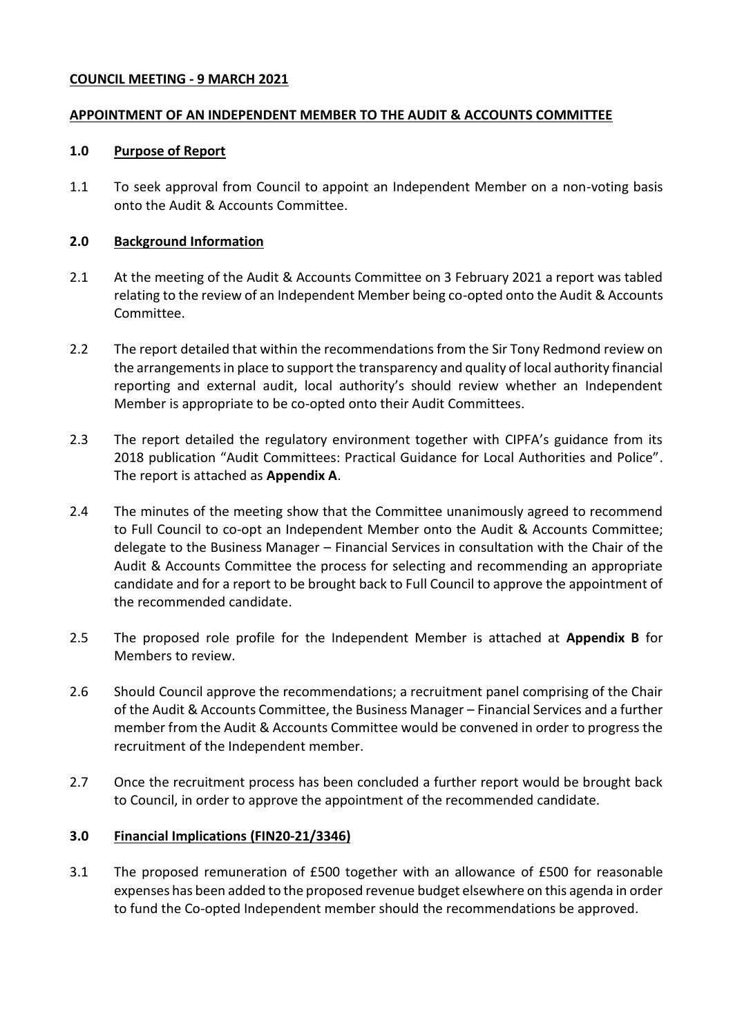### **COUNCIL MEETING - 9 MARCH 2021**

## **APPOINTMENT OF AN INDEPENDENT MEMBER TO THE AUDIT & ACCOUNTS COMMITTEE**

#### **1.0 Purpose of Report**

1.1 To seek approval from Council to appoint an Independent Member on a non-voting basis onto the Audit & Accounts Committee.

### **2.0 Background Information**

- 2.1 At the meeting of the Audit & Accounts Committee on 3 February 2021 a report was tabled relating to the review of an Independent Member being co-opted onto the Audit & Accounts Committee.
- 2.2 The report detailed that within the recommendations from the Sir Tony Redmond review on the arrangements in place to support the transparency and quality of local authority financial reporting and external audit, local authority's should review whether an Independent Member is appropriate to be co-opted onto their Audit Committees.
- 2.3 The report detailed the regulatory environment together with CIPFA's guidance from its 2018 publication "Audit Committees: Practical Guidance for Local Authorities and Police". The report is attached as **Appendix A**.
- 2.4 The minutes of the meeting show that the Committee unanimously agreed to recommend to Full Council to co-opt an Independent Member onto the Audit & Accounts Committee; delegate to the Business Manager – Financial Services in consultation with the Chair of the Audit & Accounts Committee the process for selecting and recommending an appropriate candidate and for a report to be brought back to Full Council to approve the appointment of the recommended candidate.
- 2.5 The proposed role profile for the Independent Member is attached at **Appendix B** for Members to review.
- 2.6 Should Council approve the recommendations; a recruitment panel comprising of the Chair of the Audit & Accounts Committee, the Business Manager – Financial Services and a further member from the Audit & Accounts Committee would be convened in order to progress the recruitment of the Independent member.
- 2.7 Once the recruitment process has been concluded a further report would be brought back to Council, in order to approve the appointment of the recommended candidate.

## **3.0 Financial Implications (FIN20-21/3346)**

3.1 The proposed remuneration of £500 together with an allowance of £500 for reasonable expenses has been added to the proposed revenue budget elsewhere on this agenda in order to fund the Co-opted Independent member should the recommendations be approved.